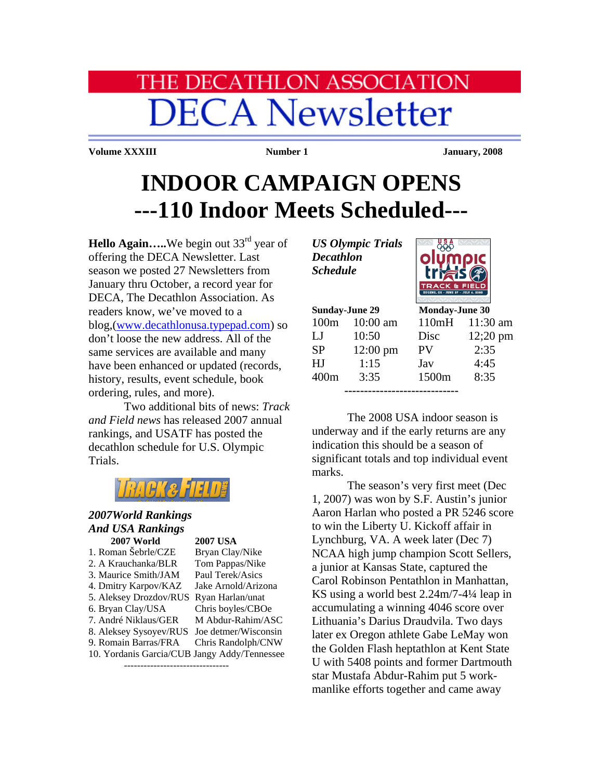## **HE DECATHLON ASSOCIATION DECA Newsletter**

**Volume XXXIII State 2008 Number 1 January, 2008** 

## **INDOOR CAMPAIGN OPENS ---110 Indoor Meets Scheduled---**

**Hello Again....**We begin out 33<sup>rd</sup> year of offering the DECA Newsletter. Last season we posted 27 Newsletters from January thru October, a record year for DECA, The Decathlon Association. As readers know, we've moved to a blog,[\(www.decathlonusa.typepad.com\)](http://www.decathlonusa.typepad.com/) so don't loose the new address. All of the same services are available and many have been enhanced or updated (records, history, results, event schedule, book ordering, rules, and more).

Two additional bits of news: *Track and Field news* has released 2007 annual rankings, and USATF has posted the decathlon schedule for U.S. Olympic Trials.



## *2007World Rankings And USA Rankings*   **2007 World 2007 USA**

| 1. Roman Šebrle/CZE                          | Bryan Clay/Nike      |  |  |
|----------------------------------------------|----------------------|--|--|
| 2. A Krauchanka/BLR                          | Tom Pappas/Nike      |  |  |
| 3. Maurice Smith/JAM                         | Paul Terek/Asics     |  |  |
| 4. Dmitry Karpov/KAZ                         | Jake Arnold/Arizona  |  |  |
| 5. Aleksey Drozdov/RUS                       | Ryan Harlan/unat     |  |  |
| 6. Bryan Clay/USA                            | Chris boyles/CBOe    |  |  |
| 7. André Niklaus/GER                         | M Abdur-Rahim/ASC    |  |  |
| 8. Aleksey Sysoyev/RUS                       | Joe detmer/Wisconsin |  |  |
| 9. Romain Barras/FRA                         | Chris Randolph/CNW   |  |  |
| 10. Yordanis Garcia/CUB Jangy Addy/Tennessee |                      |  |  |
|                                              |                      |  |  |

*US Olympic Trials Decathlon Schedule* 



| <b>Sunday-June 29</b> |                    |       | <b>Monday-June 30</b> |  |
|-----------------------|--------------------|-------|-----------------------|--|
| 100m                  | 10:00 am           | 110mH | $11:30$ am            |  |
| $L_{\rm{J}}$          | 10:50              | Disc  | $12;20 \text{ pm}$    |  |
| <b>SP</b>             | $12:00 \text{ pm}$ | PV    | 2:35                  |  |
| HJ                    | 1:15               | Jav   | 4:45                  |  |
| 400m                  | 3:35               | 1500m | 8:35                  |  |
|                       |                    |       |                       |  |

 The 2008 USA indoor season is underway and if the early returns are any indication this should be a season of significant totals and top individual event marks.

 The season's very first meet (Dec 1, 2007) was won by S.F. Austin's junior Aaron Harlan who posted a PR 5246 score to win the Liberty U. Kickoff affair in Lynchburg, VA. A week later (Dec 7) NCAA high jump champion Scott Sellers, a junior at Kansas State, captured the Carol Robinson Pentathlon in Manhattan, KS using a world best 2.24m/7-4¼ leap in accumulating a winning 4046 score over Lithuania's Darius Draudvila. Two days later ex Oregon athlete Gabe LeMay won the Golden Flash heptathlon at Kent State U with 5408 points and former Dartmouth star Mustafa Abdur-Rahim put 5 workmanlike efforts together and came away